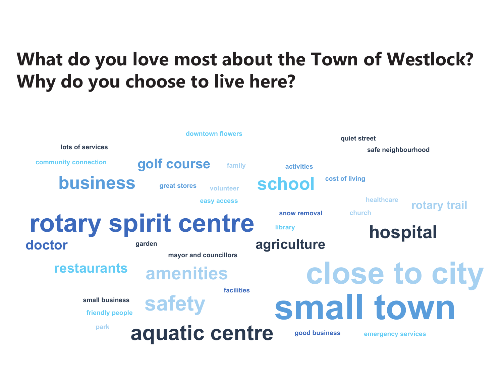## **What do you love most about the Town of Westlock? Why do you choose to live here?**

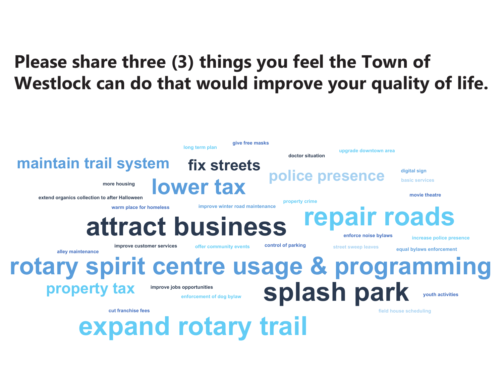## **Please share three (3) things you feel the Town of Westlock can do that would improve your quality of life.**